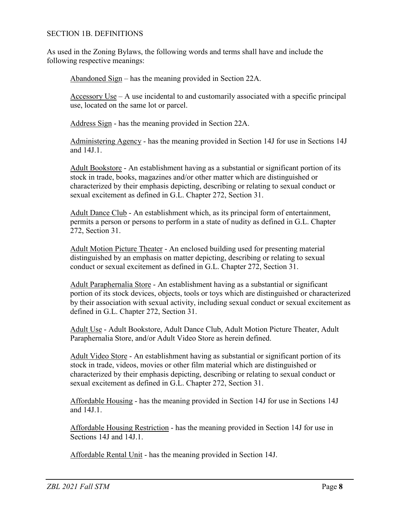## SECTION 1B. DEFINITIONS

As used in the Zoning Bylaws, the following words and terms shall have and include the following respective meanings:

Abandoned Sign – has the meaning provided in Section 22A.

 $\frac{\text{Accessory Use}}{\text{1}}$  – A use incidental to and customarily associated with a specific principal use, located on the same lot or parcel.

Address Sign - has the meaning provided in Section 22A.

Administering Agency - has the meaning provided in Section 14J for use in Sections 14J and 14J.1.

Adult Bookstore - An establishment having as a substantial or significant portion of its stock in trade, books, magazines and/or other matter which are distinguished or characterized by their emphasis depicting, describing or relating to sexual conduct or sexual excitement as defined in G.L. Chapter 272, Section 31.

Adult Dance Club - An establishment which, as its principal form of entertainment, permits a person or persons to perform in a state of nudity as defined in G.L. Chapter 272, Section 31.

Adult Motion Picture Theater - An enclosed building used for presenting material distinguished by an emphasis on matter depicting, describing or relating to sexual conduct or sexual excitement as defined in G.L. Chapter 272, Section 31.

Adult Paraphernalia Store - An establishment having as a substantial or significant portion of its stock devices, objects, tools or toys which are distinguished or characterized by their association with sexual activity, including sexual conduct or sexual excitement as defined in G.L. Chapter 272, Section 31.

Adult Use - Adult Bookstore, Adult Dance Club, Adult Motion Picture Theater, Adult Paraphernalia Store, and/or Adult Video Store as herein defined.

Adult Video Store - An establishment having as substantial or significant portion of its stock in trade, videos, movies or other film material which are distinguished or characterized by their emphasis depicting, describing or relating to sexual conduct or sexual excitement as defined in G.L. Chapter 272, Section 31.

Affordable Housing - has the meaning provided in Section 14J for use in Sections 14J and 14J.1.

Affordable Housing Restriction - has the meaning provided in Section 14J for use in Sections 14J and 14J.1.

Affordable Rental Unit - has the meaning provided in Section 14J.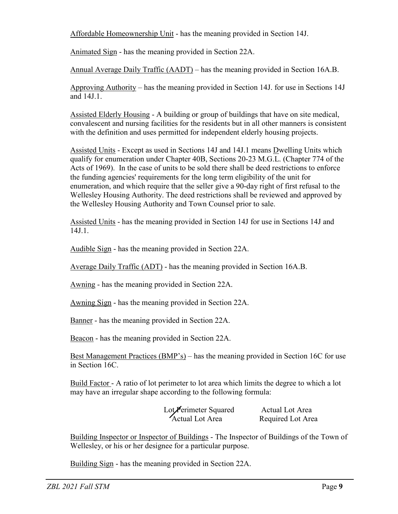Affordable Homeownership Unit - has the meaning provided in Section 14J.

Animated Sign - has the meaning provided in Section 22A.

Annual Average Daily Traffic (AADT) – has the meaning provided in Section 16A.B.

Approving Authority – has the meaning provided in Section 14J. for use in Sections 14J and 14J.1.

Assisted Elderly Housing - A building or group of buildings that have on site medical, convalescent and nursing facilities for the residents but in all other manners is consistent with the definition and uses permitted for independent elderly housing projects.

Assisted Units - Except as used in Sections 14J and 14J.1 means Dwelling Units which qualify for enumeration under Chapter 40B, Sections 20-23 M.G.L. (Chapter 774 of the Acts of 1969). In the case of units to be sold there shall be deed restrictions to enforce the funding agencies' requirements for the long term eligibility of the unit for enumeration, and which require that the seller give a 90-day right of first refusal to the Wellesley Housing Authority. The deed restrictions shall be reviewed and approved by the Wellesley Housing Authority and Town Counsel prior to sale.

Assisted Units - has the meaning provided in Section 14J for use in Sections 14J and 14J.1.

Audible Sign - has the meaning provided in Section 22A.

Average Daily Traffic (ADT) - has the meaning provided in Section 16A.B.

Awning - has the meaning provided in Section 22A.

Awning Sign - has the meaning provided in Section 22A.

Banner - has the meaning provided in Section 22A.

Beacon - has the meaning provided in Section 22A.

Best Management Practices (BMP's) – has the meaning provided in Section 16C for use in Section 16C.

Build Factor - A ratio of lot perimeter to lot area which limits the degree to which a lot may have an irregular shape according to the following formula:

> Lot**/P**erimeter Squared Actual Lot Area Actual Lot Area Required Lot Area

Building Inspector or Inspector of Buildings - The Inspector of Buildings of the Town of Wellesley, or his or her designee for a particular purpose.

Building Sign - has the meaning provided in Section 22A.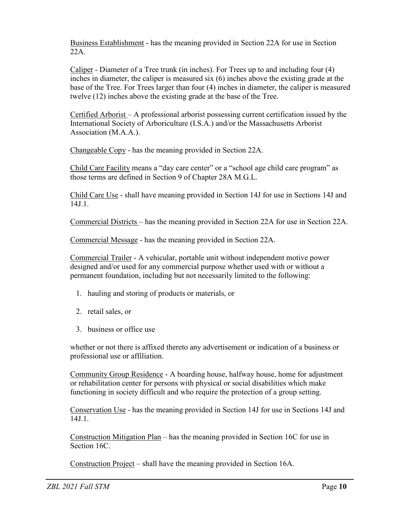Business Establishment - has the meaning provided in Section 22A for use in Section 22A.

Caliper - Diameter of a Tree trunk (in inches). For Trees up to and including four (4) inches in diameter, the caliper is measured six (6) inches above the existing grade at the base of the Tree. For Trees larger than four (4) inches in diameter, the caliper is measured twelve (12) inches above the existing grade at the base of the Tree.

Certified Arborist – A professional arborist possessing current certification issued by the International Society of Arboriculture (I.S.A.) and/or the Massachusetts Arborist Association (M.A.A.).

Changeable Copy - has the meaning provided in Section 22A.

Child Care Facility means a "day care center" or a "school age child care program" as those terms are defined in Section 9 of Chapter 28A M.G.L.

Child Care Use - shall have meaning provided in Section 14J for use in Sections 14J and 14J.1.

Commercial Districts – has the meaning provided in Section 22A for use in Section 22A.

Commercial Message - has the meaning provided in Section 22A.

Commercial Trailer - A vehicular, portable unit without independent motive power designed and/or used for any commercial purpose whether used with or without a permanent foundation, including but not necessarily limited to the following:

- 1. hauling and storing of products or materials, or
- 2. retail sales, or
- 3. business or office use

whether or not there is affixed thereto any advertisement or indication of a business or professional use or affiliation.

Community Group Residence - A boarding house, halfway house, home for adjustment or rehabilitation center for persons with physical or social disabilities which make functioning in society difficult and who require the protection of a group setting.

Conservation Use - has the meaning provided in Section 14J for use in Sections 14J and 14J.1.

Construction Mitigation Plan – has the meaning provided in Section 16C for use in Section 16C.

Construction Project – shall have the meaning provided in Section 16A.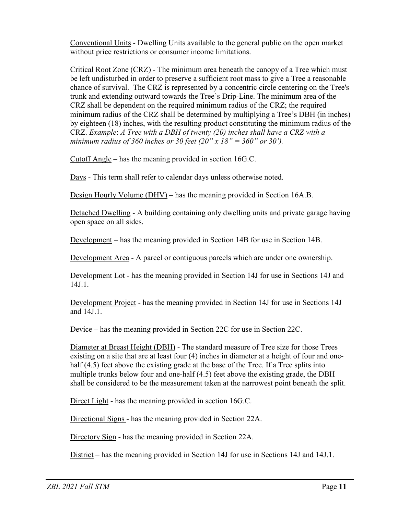Conventional Units - Dwelling Units available to the general public on the open market without price restrictions or consumer income limitations.

Critical Root Zone (CRZ) - The minimum area beneath the canopy of a Tree which must be left undisturbed in order to preserve a sufficient root mass to give a Tree a reasonable chance of survival. The CRZ is represented by a concentric circle centering on the Tree's trunk and extending outward towards the Tree's Drip-Line. The minimum area of the CRZ shall be dependent on the required minimum radius of the CRZ; the required minimum radius of the CRZ shall be determined by multiplying a Tree's DBH (in inches) by eighteen (18) inches, with the resulting product constituting the minimum radius of the CRZ. *Example*: *A Tree with a DBH of twenty (20) inches shall have a CRZ with a minimum radius of 360 inches or 30 feet (20" x 18" = 360" or 30').*

Cutoff Angle – has the meaning provided in section 16G.C.

Days - This term shall refer to calendar days unless otherwise noted.

Design Hourly Volume (DHV) – has the meaning provided in Section 16A.B.

Detached Dwelling - A building containing only dwelling units and private garage having open space on all sides.

Development – has the meaning provided in Section 14B for use in Section 14B.

Development Area - A parcel or contiguous parcels which are under one ownership.

Development Lot - has the meaning provided in Section 14J for use in Sections 14J and 14J.1.

Development Project - has the meaning provided in Section 14J for use in Sections 14J and 14J.1.

Device – has the meaning provided in Section 22C for use in Section 22C.

Diameter at Breast Height (DBH) - The standard measure of Tree size for those Trees existing on a site that are at least four (4) inches in diameter at a height of four and onehalf (4.5) feet above the existing grade at the base of the Tree. If a Tree splits into multiple trunks below four and one-half (4.5) feet above the existing grade, the DBH shall be considered to be the measurement taken at the narrowest point beneath the split.

Direct Light - has the meaning provided in section 16G.C.

Directional Signs - has the meaning provided in Section 22A.

Directory Sign - has the meaning provided in Section 22A.

District – has the meaning provided in Section 14J for use in Sections 14J and 14J.1.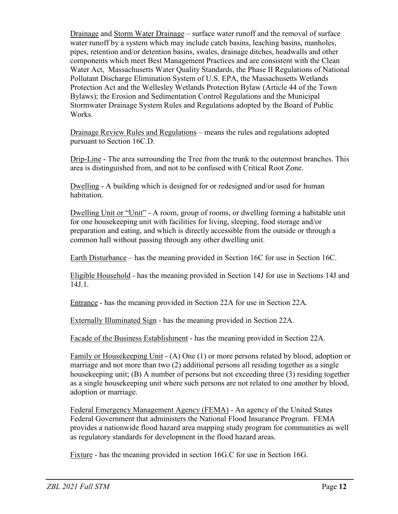Drainage and Storm Water Drainage – surface water runoff and the removal of surface water runoff by a system which may include catch basins, leaching basins, manholes, pipes, retention and/or detention basins, swales, drainage ditches, headwalls and other components which meet Best Management Practices and are consistent with the Clean Water Act, Massachusetts Water Quality Standards, the Phase II Regulations of National Pollutant Discharge Elimination System of U.S. EPA, the Massachusetts Wetlands Protection Act and the Wellesley Wetlands Protection Bylaw (Article 44 of the Town Bylaws); the Erosion and Sedimentation Control Regulations and the Municipal Stormwater Drainage System Rules and Regulations adopted by the Board of Public Works.

Drainage Review Rules and Regulations – means the rules and regulations adopted pursuant to Section 16C.D.

Drip-Line - The area surrounding the Tree from the trunk to the outermost branches. This area is distinguished from, and not to be confused with Critical Root Zone.

Dwelling - A building which is designed for or redesigned and/or used for human habitation.

Dwelling Unit or "Unit" - A room, group of rooms, or dwelling forming a habitable unit for one housekeeping unit with facilities for living, sleeping, food storage and/or preparation and eating, and which is directly accessible from the outside or through a common hall without passing through any other dwelling unit.

Earth Disturbance – has the meaning provided in Section 16C for use in Section 16C.

Eligible Household - has the meaning provided in Section 14J for use in Sections 14J and 14J.1.

Entrance - has the meaning provided in Section 22A for use in Section 22A.

Externally Illuminated Sign - has the meaning provided in Section 22A.

Facade of the Business Establishment - has the meaning provided in Section 22A.

Family or Housekeeping Unit - (A) One (1) or more persons related by blood, adoption or marriage and not more than two (2) additional persons all residing together as a single housekeeping unit; (B) A number of persons but not exceeding three (3) residing together as a single housekeeping unit where such persons are not related to one another by blood, adoption or marriage.

Federal Emergency Management Agency (FEMA) - An agency of the United States Federal Government that administers the National Flood Insurance Program. FEMA provides a nationwide flood hazard area mapping study program for communities as well as regulatory standards for development in the flood hazard areas.

Fixture - has the meaning provided in section 16G.C for use in Section 16G.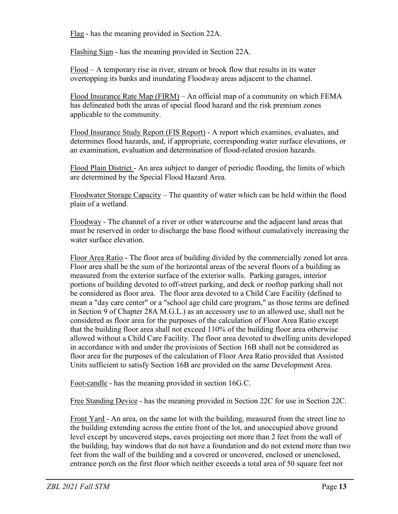Flag - has the meaning provided in Section 22A.

Flashing Sign - has the meaning provided in Section 22A.

Flood – A temporary rise in river, stream or brook flow that results in its water overtopping its banks and inundating Floodway areas adjacent to the channel.

Flood Insurance Rate Map (FIRM) – An official map of a community on which FEMA has delineated both the areas of special flood hazard and the risk premium zones applicable to the community.

Flood Insurance Study Report (FIS Report) - A report which examines, evaluates, and determines flood hazards, and, if appropriate, corresponding water surface elevations, or an examination, evaluation and determination of flood-related erosion hazards.

Flood Plain District - An area subject to danger of periodic flooding, the limits of which are determined by the Special Flood Hazard Area.

Floodwater Storage Capacity – The quantity of water which can be held within the flood plain of a wetland.

Floodway - The channel of a river or other watercourse and the adjacent land areas that must be reserved in order to discharge the base flood without cumulatively increasing the water surface elevation.

Floor Area Ratio - The floor area of building divided by the commercially zoned lot area. Floor area shall be the sum of the horizontal areas of the several floors of a building as measured from the exterior surface of the exterior walls. Parking garages, interior portions of building devoted to off-street parking, and deck or rooftop parking shall not be considered as floor area. The floor area devoted to a Child Care Facility (defined to mean a "day care center" or a "school age child care program," as those terms are defined in Section 9 of Chapter 28A M.G.L.) as an accessory use to an allowed use, shall not be considered as floor area for the purposes of the calculation of Floor Area Ratio except that the building floor area shall not exceed 110% of the building floor area otherwise allowed without a Child Care Facility. The floor area devoted to dwelling units developed in accordance with and under the provisions of Section 16B shall not be considered as floor area for the purposes of the calculation of Floor Area Ratio provided that Assisted Units sufficient to satisfy Section 16B are provided on the same Development Area.

Foot-candle - has the meaning provided in section 16G.C.

Free Standing Device - has the meaning provided in Section 22C for use in Section 22C.

Front Yard - An area, on the same lot with the building, measured from the street line to the building extending across the entire front of the lot, and unoccupied above ground level except by uncovered steps, eaves projecting not more than 2 feet from the wall of the building, bay windows that do not have a foundation and do not extend more than two feet from the wall of the building and a covered or uncovered, enclosed or unenclosed, entrance porch on the first floor which neither exceeds a total area of 50 square feet nor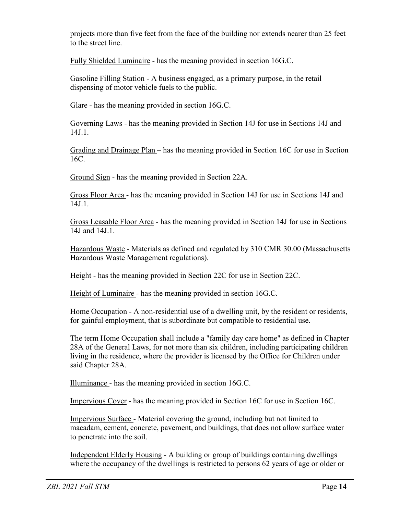projects more than five feet from the face of the building nor extends nearer than 25 feet to the street line.

Fully Shielded Luminaire - has the meaning provided in section 16G.C.

Gasoline Filling Station - A business engaged, as a primary purpose, in the retail dispensing of motor vehicle fuels to the public.

Glare - has the meaning provided in section 16G.C.

Governing Laws - has the meaning provided in Section 14J for use in Sections 14J and 14J.1.

Grading and Drainage Plan – has the meaning provided in Section 16C for use in Section 16C.

Ground Sign - has the meaning provided in Section 22A.

Gross Floor Area - has the meaning provided in Section 14J for use in Sections 14J and 14J.1.

Gross Leasable Floor Area - has the meaning provided in Section 14J for use in Sections 14J and 14J.1.

Hazardous Waste - Materials as defined and regulated by 310 CMR 30.00 (Massachusetts Hazardous Waste Management regulations).

Height - has the meaning provided in Section 22C for use in Section 22C.

Height of Luminaire - has the meaning provided in section 16G.C.

Home Occupation - A non-residential use of a dwelling unit, by the resident or residents, for gainful employment, that is subordinate but compatible to residential use.

The term Home Occupation shall include a "family day care home" as defined in Chapter 28A of the General Laws, for not more than six children, including participating children living in the residence, where the provider is licensed by the Office for Children under said Chapter 28A.

Illuminance - has the meaning provided in section 16G.C.

Impervious Cover - has the meaning provided in Section 16C for use in Section 16C.

Impervious Surface - Material covering the ground, including but not limited to macadam, cement, concrete, pavement, and buildings, that does not allow surface water to penetrate into the soil.

Independent Elderly Housing - A building or group of buildings containing dwellings where the occupancy of the dwellings is restricted to persons 62 years of age or older or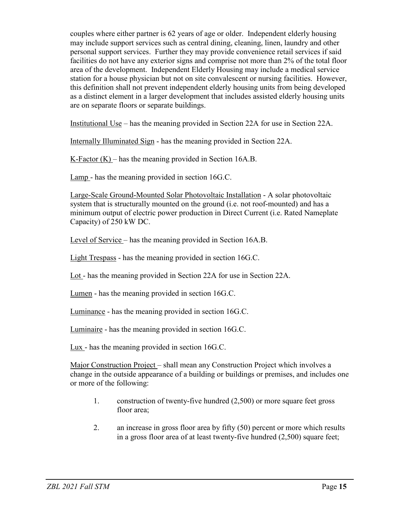couples where either partner is 62 years of age or older. Independent elderly housing may include support services such as central dining, cleaning, linen, laundry and other personal support services. Further they may provide convenience retail services if said facilities do not have any exterior signs and comprise not more than 2% of the total floor area of the development. Independent Elderly Housing may include a medical service station for a house physician but not on site convalescent or nursing facilities. However, this definition shall not prevent independent elderly housing units from being developed as a distinct element in a larger development that includes assisted elderly housing units are on separate floors or separate buildings.

Institutional Use – has the meaning provided in Section 22A for use in Section 22A.

Internally Illuminated Sign - has the meaning provided in Section 22A.

K-Factor  $(K)$  – has the meaning provided in Section 16A.B.

Lamp - has the meaning provided in section 16G.C.

Large-Scale Ground-Mounted Solar Photovoltaic Installation - A solar photovoltaic system that is structurally mounted on the ground (i.e. not roof-mounted) and has a minimum output of electric power production in Direct Current (i.e. Rated Nameplate Capacity) of 250 kW DC.

Level of Service – has the meaning provided in Section 16A.B.

Light Trespass - has the meaning provided in section 16G.C.

Lot - has the meaning provided in Section 22A for use in Section 22A.

Lumen - has the meaning provided in section 16G.C.

Luminance - has the meaning provided in section 16G.C.

Luminaire - has the meaning provided in section 16G.C.

Lux - has the meaning provided in section 16G.C.

Major Construction Project – shall mean any Construction Project which involves a change in the outside appearance of a building or buildings or premises, and includes one or more of the following:

- 1. construction of twenty-five hundred (2,500) or more square feet gross floor area:
- 2. an increase in gross floor area by fifty (50) percent or more which results in a gross floor area of at least twenty-five hundred (2,500) square feet;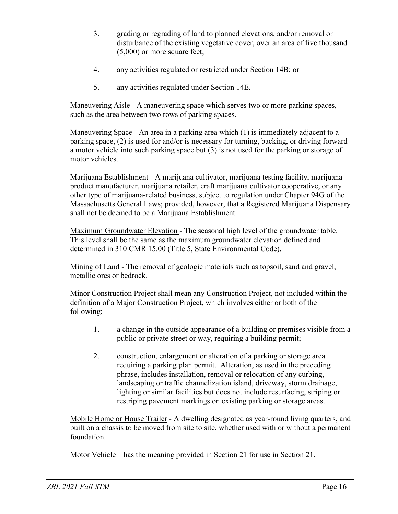- 3. grading or regrading of land to planned elevations, and/or removal or disturbance of the existing vegetative cover, over an area of five thousand (5,000) or more square feet;
- 4. any activities regulated or restricted under Section 14B; or
- 5. any activities regulated under Section 14E.

Maneuvering Aisle - A maneuvering space which serves two or more parking spaces, such as the area between two rows of parking spaces.

Maneuvering Space - An area in a parking area which (1) is immediately adjacent to a parking space, (2) is used for and/or is necessary for turning, backing, or driving forward a motor vehicle into such parking space but (3) is not used for the parking or storage of motor vehicles.

Marijuana Establishment - A marijuana cultivator, marijuana testing facility, marijuana product manufacturer, marijuana retailer, craft marijuana cultivator cooperative, or any other type of marijuana-related business, subject to regulation under Chapter 94G of the Massachusetts General Laws; provided, however, that a Registered Marijuana Dispensary shall not be deemed to be a Marijuana Establishment.

Maximum Groundwater Elevation - The seasonal high level of the groundwater table. This level shall be the same as the maximum groundwater elevation defined and determined in 310 CMR 15.00 (Title 5, State Environmental Code).

Mining of Land - The removal of geologic materials such as topsoil, sand and gravel, metallic ores or bedrock.

Minor Construction Project shall mean any Construction Project, not included within the definition of a Major Construction Project, which involves either or both of the following:

- 1. a change in the outside appearance of a building or premises visible from a public or private street or way, requiring a building permit;
- 2. construction, enlargement or alteration of a parking or storage area requiring a parking plan permit. Alteration, as used in the preceding phrase, includes installation, removal or relocation of any curbing, landscaping or traffic channelization island, driveway, storm drainage, lighting or similar facilities but does not include resurfacing, striping or restriping pavement markings on existing parking or storage areas.

Mobile Home or House Trailer - A dwelling designated as year-round living quarters, and built on a chassis to be moved from site to site, whether used with or without a permanent foundation.

Motor Vehicle – has the meaning provided in Section 21 for use in Section 21.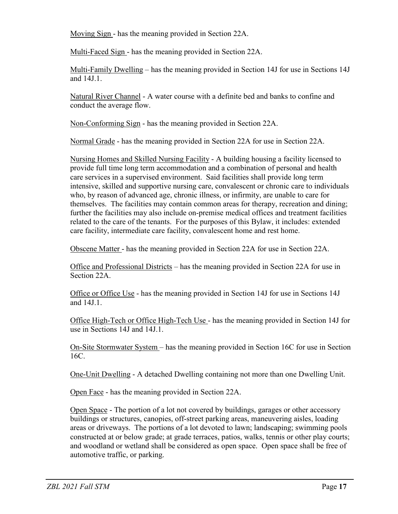Moving Sign - has the meaning provided in Section 22A.

Multi-Faced Sign - has the meaning provided in Section 22A.

Multi-Family Dwelling – has the meaning provided in Section 14J for use in Sections 14J and 14J.1.

Natural River Channel - A water course with a definite bed and banks to confine and conduct the average flow.

Non-Conforming Sign - has the meaning provided in Section 22A.

Normal Grade - has the meaning provided in Section 22A for use in Section 22A.

Nursing Homes and Skilled Nursing Facility - A building housing a facility licensed to provide full time long term accommodation and a combination of personal and health care services in a supervised environment. Said facilities shall provide long term intensive, skilled and supportive nursing care, convalescent or chronic care to individuals who, by reason of advanced age, chronic illness, or infirmity, are unable to care for themselves. The facilities may contain common areas for therapy, recreation and dining; further the facilities may also include on-premise medical offices and treatment facilities related to the care of the tenants. For the purposes of this Bylaw, it includes: extended care facility, intermediate care facility, convalescent home and rest home.

Obscene Matter - has the meaning provided in Section 22A for use in Section 22A.

Office and Professional Districts – has the meaning provided in Section 22A for use in Section 22A.

Office or Office Use - has the meaning provided in Section 14J for use in Sections 14J and 14J.1.

Office High-Tech or Office High-Tech Use - has the meaning provided in Section 14J for use in Sections 14J and 14J.1.

On-Site Stormwater System – has the meaning provided in Section 16C for use in Section 16C.

One-Unit Dwelling - A detached Dwelling containing not more than one Dwelling Unit.

Open Face - has the meaning provided in Section 22A.

Open Space - The portion of a lot not covered by buildings, garages or other accessory buildings or structures, canopies, off-street parking areas, maneuvering aisles, loading areas or driveways. The portions of a lot devoted to lawn; landscaping; swimming pools constructed at or below grade; at grade terraces, patios, walks, tennis or other play courts; and woodland or wetland shall be considered as open space. Open space shall be free of automotive traffic, or parking.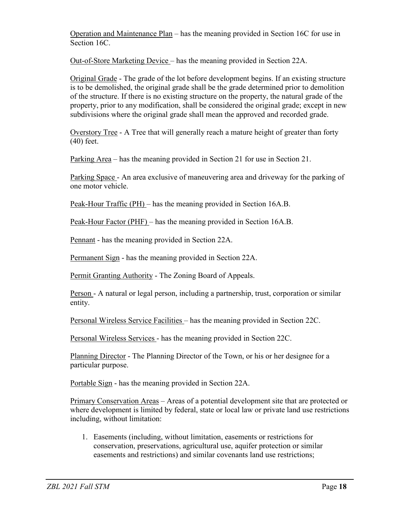Operation and Maintenance Plan – has the meaning provided in Section 16C for use in Section 16C.

Out-of-Store Marketing Device – has the meaning provided in Section 22A.

Original Grade - The grade of the lot before development begins. If an existing structure is to be demolished, the original grade shall be the grade determined prior to demolition of the structure. If there is no existing structure on the property, the natural grade of the property, prior to any modification, shall be considered the original grade; except in new subdivisions where the original grade shall mean the approved and recorded grade.

Overstory Tree - A Tree that will generally reach a mature height of greater than forty (40) feet.

Parking Area – has the meaning provided in Section 21 for use in Section 21.

Parking Space - An area exclusive of maneuvering area and driveway for the parking of one motor vehicle.

Peak-Hour Traffic (PH) – has the meaning provided in Section 16A.B.

Peak-Hour Factor (PHF) – has the meaning provided in Section 16A.B.

Pennant - has the meaning provided in Section 22A.

Permanent Sign - has the meaning provided in Section 22A.

Permit Granting Authority - The Zoning Board of Appeals.

Person - A natural or legal person, including a partnership, trust, corporation or similar entity.

Personal Wireless Service Facilities – has the meaning provided in Section 22C.

Personal Wireless Services - has the meaning provided in Section 22C.

Planning Director - The Planning Director of the Town, or his or her designee for a particular purpose.

Portable Sign - has the meaning provided in Section 22A.

Primary Conservation Areas – Areas of a potential development site that are protected or where development is limited by federal, state or local law or private land use restrictions including, without limitation:

1. Easements (including, without limitation, easements or restrictions for conservation, preservations, agricultural use, aquifer protection or similar easements and restrictions) and similar covenants land use restrictions;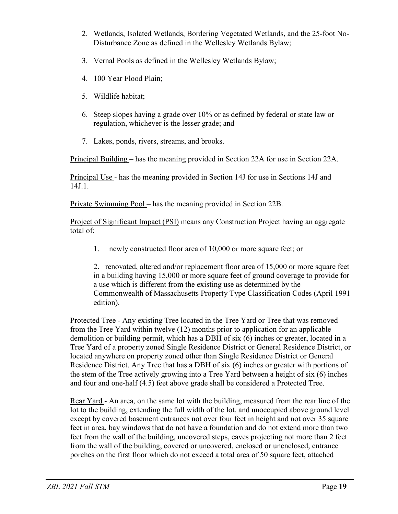- 2. Wetlands, Isolated Wetlands, Bordering Vegetated Wetlands, and the 25-foot No-Disturbance Zone as defined in the Wellesley Wetlands Bylaw;
- 3. Vernal Pools as defined in the Wellesley Wetlands Bylaw;
- 4. 100 Year Flood Plain;
- 5. Wildlife habitat;
- 6. Steep slopes having a grade over 10% or as defined by federal or state law or regulation, whichever is the lesser grade; and
- 7. Lakes, ponds, rivers, streams, and brooks.

Principal Building – has the meaning provided in Section 22A for use in Section 22A.

Principal Use - has the meaning provided in Section 14J for use in Sections 14J and 14J.1.

Private Swimming Pool – has the meaning provided in Section 22B.

Project of Significant Impact (PSI) means any Construction Project having an aggregate total of:

1. newly constructed floor area of 10,000 or more square feet; or

2. renovated, altered and/or replacement floor area of 15,000 or more square feet in a building having 15,000 or more square feet of ground coverage to provide for a use which is different from the existing use as determined by the Commonwealth of Massachusetts Property Type Classification Codes (April 1991 edition).

Protected Tree - Any existing Tree located in the Tree Yard or Tree that was removed from the Tree Yard within twelve (12) months prior to application for an applicable demolition or building permit, which has a DBH of six (6) inches or greater, located in a Tree Yard of a property zoned Single Residence District or General Residence District, or located anywhere on property zoned other than Single Residence District or General Residence District. Any Tree that has a DBH of six (6) inches or greater with portions of the stem of the Tree actively growing into a Tree Yard between a height of six (6) inches and four and one-half (4.5) feet above grade shall be considered a Protected Tree.

Rear Yard - An area, on the same lot with the building, measured from the rear line of the lot to the building, extending the full width of the lot, and unoccupied above ground level except by covered basement entrances not over four feet in height and not over 35 square feet in area, bay windows that do not have a foundation and do not extend more than two feet from the wall of the building, uncovered steps, eaves projecting not more than 2 feet from the wall of the building, covered or uncovered, enclosed or unenclosed, entrance porches on the first floor which do not exceed a total area of 50 square feet, attached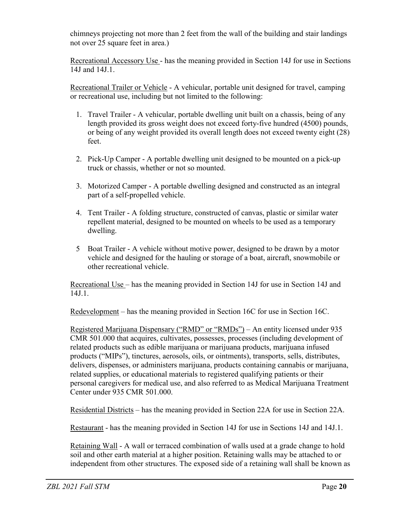chimneys projecting not more than 2 feet from the wall of the building and stair landings not over 25 square feet in area.)

Recreational Accessory Use - has the meaning provided in Section 14J for use in Sections 14J and 14J.1.

Recreational Trailer or Vehicle - A vehicular, portable unit designed for travel, camping or recreational use, including but not limited to the following:

- 1. Travel Trailer A vehicular, portable dwelling unit built on a chassis, being of any length provided its gross weight does not exceed forty-five hundred (4500) pounds, or being of any weight provided its overall length does not exceed twenty eight (28) feet.
- 2. Pick-Up Camper A portable dwelling unit designed to be mounted on a pick-up truck or chassis, whether or not so mounted.
- 3. Motorized Camper A portable dwelling designed and constructed as an integral part of a self-propelled vehicle.
- 4. Tent Trailer A folding structure, constructed of canvas, plastic or similar water repellent material, designed to be mounted on wheels to be used as a temporary dwelling.
- 5 Boat Trailer A vehicle without motive power, designed to be drawn by a motor vehicle and designed for the hauling or storage of a boat, aircraft, snowmobile or other recreational vehicle.

Recreational Use – has the meaning provided in Section 14J for use in Section 14J and 14J.1.

Redevelopment – has the meaning provided in Section 16C for use in Section 16C.

Registered Marijuana Dispensary ("RMD" or "RMDs") – An entity licensed under 935 CMR 501.000 that acquires, cultivates, possesses, processes (including development of related products such as edible marijuana or marijuana products, marijuana infused products ("MIPs"), tinctures, aerosols, oils, or ointments), transports, sells, distributes, delivers, dispenses, or administers marijuana, products containing cannabis or marijuana, related supplies, or educational materials to registered qualifying patients or their personal caregivers for medical use, and also referred to as Medical Marijuana Treatment Center under 935 CMR 501.000.

Residential Districts – has the meaning provided in Section 22A for use in Section 22A.

Restaurant - has the meaning provided in Section 14J for use in Sections 14J and 14J.1.

Retaining Wall - A wall or terraced combination of walls used at a grade change to hold soil and other earth material at a higher position. Retaining walls may be attached to or independent from other structures. The exposed side of a retaining wall shall be known as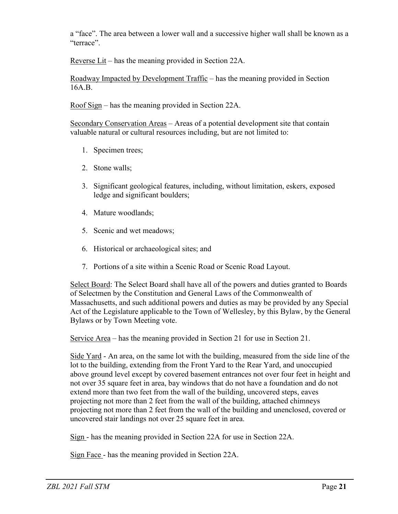a "face". The area between a lower wall and a successive higher wall shall be known as a "terrace".

Reverse Lit – has the meaning provided in Section 22A.

Roadway Impacted by Development Traffic – has the meaning provided in Section 16A.B.

Roof Sign – has the meaning provided in Section 22A.

Secondary Conservation Areas – Areas of a potential development site that contain valuable natural or cultural resources including, but are not limited to:

- 1. Specimen trees;
- 2. Stone walls;
- 3. Significant geological features, including, without limitation, eskers, exposed ledge and significant boulders;
- 4. Mature woodlands;
- 5. Scenic and wet meadows;
- 6. Historical or archaeological sites; and
- 7. Portions of a site within a Scenic Road or Scenic Road Layout.

Select Board: The Select Board shall have all of the powers and duties granted to Boards of Selectmen by the Constitution and General Laws of the Commonwealth of Massachusetts, and such additional powers and duties as may be provided by any Special Act of the Legislature applicable to the Town of Wellesley, by this Bylaw, by the General Bylaws or by Town Meeting vote.

Service Area – has the meaning provided in Section 21 for use in Section 21.

Side Yard - An area, on the same lot with the building, measured from the side line of the lot to the building, extending from the Front Yard to the Rear Yard, and unoccupied above ground level except by covered basement entrances not over four feet in height and not over 35 square feet in area, bay windows that do not have a foundation and do not extend more than two feet from the wall of the building, uncovered steps, eaves projecting not more than 2 feet from the wall of the building, attached chimneys projecting not more than 2 feet from the wall of the building and unenclosed, covered or uncovered stair landings not over 25 square feet in area.

Sign - has the meaning provided in Section 22A for use in Section 22A.

Sign Face - has the meaning provided in Section 22A.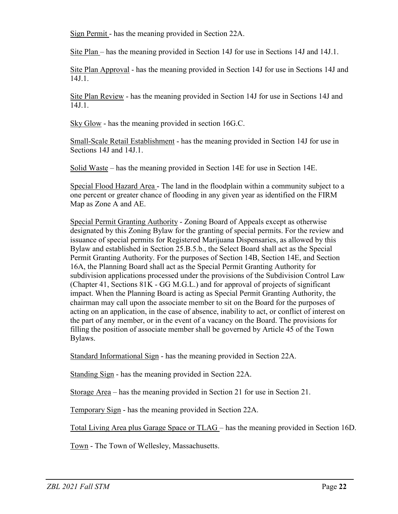Sign Permit - has the meaning provided in Section 22A.

Site Plan – has the meaning provided in Section 14J for use in Sections 14J and 14J.1.

Site Plan Approval - has the meaning provided in Section 14J for use in Sections 14J and 14J.1.

Site Plan Review - has the meaning provided in Section 14J for use in Sections 14J and 14J.1.

Sky Glow - has the meaning provided in section 16G.C.

Small-Scale Retail Establishment - has the meaning provided in Section 14J for use in Sections 14J and 14J.1.

Solid Waste – has the meaning provided in Section 14E for use in Section 14E.

Special Flood Hazard Area - The land in the floodplain within a community subject to a one percent or greater chance of flooding in any given year as identified on the FIRM Map as Zone A and AE.

Special Permit Granting Authority - Zoning Board of Appeals except as otherwise designated by this Zoning Bylaw for the granting of special permits. For the review and issuance of special permits for Registered Marijuana Dispensaries, as allowed by this Bylaw and established in Section 25.B.5.b., the Select Board shall act as the Special Permit Granting Authority. For the purposes of Section 14B, Section 14E, and Section 16A, the Planning Board shall act as the Special Permit Granting Authority for subdivision applications processed under the provisions of the Subdivision Control Law (Chapter 41, Sections 81K - GG M.G.L.) and for approval of projects of significant impact. When the Planning Board is acting as Special Permit Granting Authority, the chairman may call upon the associate member to sit on the Board for the purposes of acting on an application, in the case of absence, inability to act, or conflict of interest on the part of any member, or in the event of a vacancy on the Board. The provisions for filling the position of associate member shall be governed by Article 45 of the Town Bylaws.

Standard Informational Sign - has the meaning provided in Section 22A.

Standing Sign - has the meaning provided in Section 22A.

Storage Area – has the meaning provided in Section 21 for use in Section 21.

Temporary Sign - has the meaning provided in Section 22A.

Total Living Area plus Garage Space or TLAG – has the meaning provided in Section 16D.

Town - The Town of Wellesley, Massachusetts.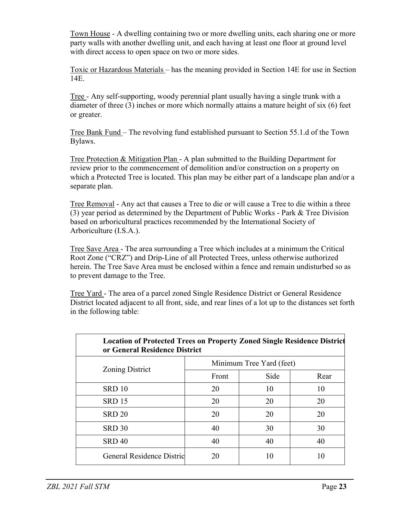Town House - A dwelling containing two or more dwelling units, each sharing one or more party walls with another dwelling unit, and each having at least one floor at ground level with direct access to open space on two or more sides.

Toxic or Hazardous Materials – has the meaning provided in Section 14E for use in Section 14E.

Tree - Any self-supporting, woody perennial plant usually having a single trunk with a diameter of three (3) inches or more which normally attains a mature height of six (6) feet or greater.

Tree Bank Fund – The revolving fund established pursuant to Section 55.1.d of the Town Bylaws.

Tree Protection & Mitigation Plan - A plan submitted to the Building Department for review prior to the commencement of demolition and/or construction on a property on which a Protected Tree is located. This plan may be either part of a landscape plan and/or a separate plan.

Tree Removal - Any act that causes a Tree to die or will cause a Tree to die within a three (3) year period as determined by the Department of Public Works - Park & Tree Division based on arboricultural practices recommended by the International Society of Arboriculture (I.S.A.).

Tree Save Area - The area surrounding a Tree which includes at a minimum the Critical Root Zone ("CRZ") and Drip-Line of all Protected Trees, unless otherwise authorized herein. The Tree Save Area must be enclosed within a fence and remain undisturbed so as to prevent damage to the Tree.

Tree Yard - The area of a parcel zoned Single Residence District or General Residence District located adjacent to all front, side, and rear lines of a lot up to the distances set forth in the following table:

| <b>Location of Protected Trees on Property Zoned Single Residence District</b><br>or General Residence District |                          |      |      |
|-----------------------------------------------------------------------------------------------------------------|--------------------------|------|------|
| Zoning District                                                                                                 | Minimum Tree Yard (feet) |      |      |
|                                                                                                                 | Front                    | Side | Rear |
| SRD <sub>10</sub>                                                                                               | 20                       | 10   | 10   |
| <b>SRD 15</b>                                                                                                   | 20                       | 20   | 20   |
| <b>SRD 20</b>                                                                                                   | 20                       | 20   | 20   |
| <b>SRD 30</b>                                                                                                   | 40                       | 30   | 30   |
| <b>SRD 40</b>                                                                                                   | 40                       | 40   | 40   |
| <b>General Residence Distric</b>                                                                                | 20                       | 10   | 10   |